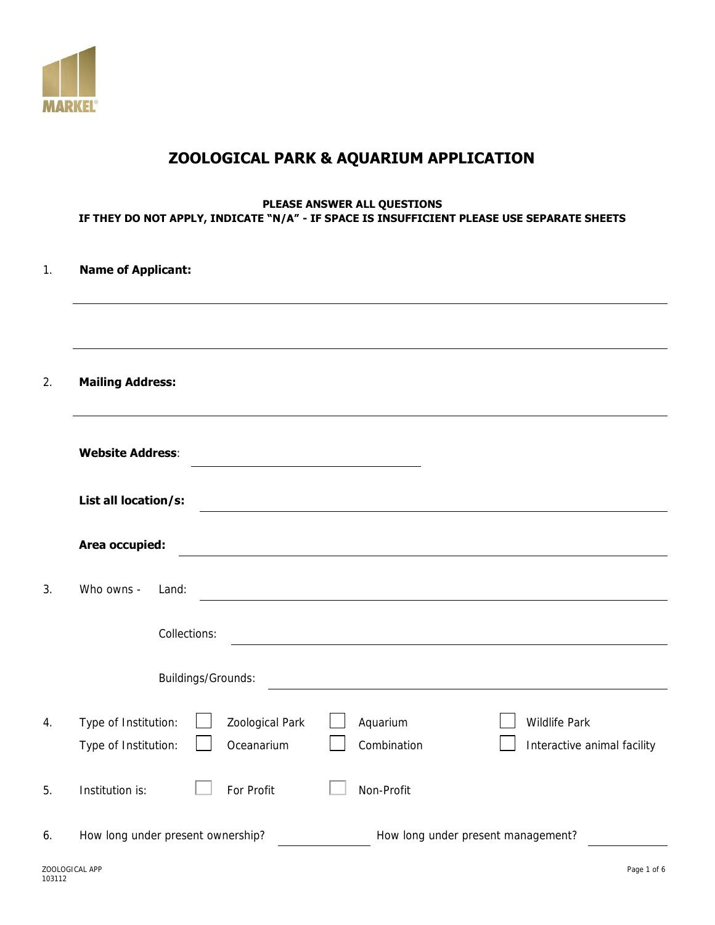

# **ZOOLOGICAL PARK & AQUARIUM APPLICATION**

#### **PLEASE ANSWER ALL QUESTIONS IF THEY DO NOT APPLY, INDICATE "N/A" - IF SPACE IS INSUFFICIENT PLEASE USE SEPARATE SHEETS**

| <b>Name of Applicant:</b>                    |                                   |                                                                                                                      |                                              |
|----------------------------------------------|-----------------------------------|----------------------------------------------------------------------------------------------------------------------|----------------------------------------------|
| <b>Mailing Address:</b>                      |                                   |                                                                                                                      |                                              |
|                                              |                                   |                                                                                                                      |                                              |
| <b>Website Address:</b>                      |                                   | <u> 1989 - Johann Barn, mars ann an t-Amhain Aonaich an t-Aonaich an t-Aonaich ann an t-Aonaich ann an t-Aonaich</u> |                                              |
| List all location/s:                         |                                   |                                                                                                                      |                                              |
| Area occupied:                               |                                   |                                                                                                                      |                                              |
| Who owns -                                   | Land:                             |                                                                                                                      |                                              |
|                                              | Collections:                      |                                                                                                                      |                                              |
|                                              | Buildings/Grounds:                |                                                                                                                      |                                              |
| Type of Institution:<br>Type of Institution: | Zoological Park<br>Oceanarium     | Aquarium<br>Combination                                                                                              | Wildlife Park<br>Interactive animal facility |
| Institution is:                              | For Profit                        | Non-Profit                                                                                                           |                                              |
|                                              | How long under present ownership? |                                                                                                                      | How long under present management?           |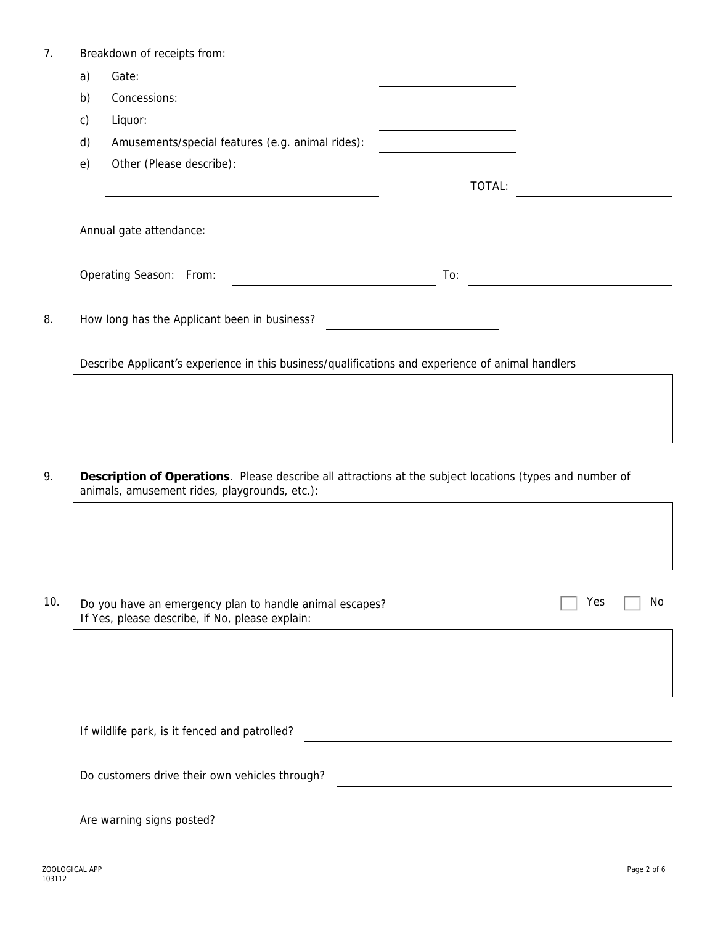|              | Breakdown of receipts from:                                                                                                                                       |     |        |     |    |
|--------------|-------------------------------------------------------------------------------------------------------------------------------------------------------------------|-----|--------|-----|----|
| a)           | Gate:                                                                                                                                                             |     |        |     |    |
| b)           | Concessions:                                                                                                                                                      |     |        |     |    |
| $\mathsf{C}$ | Liquor:                                                                                                                                                           |     |        |     |    |
| $\mathsf{d}$ | Amusements/special features (e.g. animal rides):                                                                                                                  |     |        |     |    |
| e)           | Other (Please describe):                                                                                                                                          |     |        |     |    |
|              |                                                                                                                                                                   |     | TOTAL: |     |    |
|              | Annual gate attendance:                                                                                                                                           |     |        |     |    |
|              | Operating Season: From:                                                                                                                                           | To: |        |     |    |
|              | How long has the Applicant been in business?                                                                                                                      |     |        |     |    |
|              | Describe Applicant's experience in this business/qualifications and experience of animal handlers                                                                 |     |        |     |    |
|              |                                                                                                                                                                   |     |        |     |    |
|              |                                                                                                                                                                   |     |        |     |    |
|              |                                                                                                                                                                   |     |        |     |    |
|              |                                                                                                                                                                   |     |        |     |    |
|              |                                                                                                                                                                   |     |        |     |    |
|              | <b>Description of Operations</b> . Please describe all attractions at the subject locations (types and number of<br>animals, amusement rides, playgrounds, etc.): |     |        |     |    |
|              |                                                                                                                                                                   |     |        |     |    |
|              |                                                                                                                                                                   |     |        |     |    |
|              |                                                                                                                                                                   |     |        |     |    |
|              | Do you have an emergency plan to handle animal escapes?<br>If Yes, please describe, if No, please explain:                                                        |     |        | Yes |    |
|              |                                                                                                                                                                   |     |        |     |    |
|              |                                                                                                                                                                   |     |        |     |    |
|              |                                                                                                                                                                   |     |        |     |    |
|              | If wildlife park, is it fenced and patrolled?                                                                                                                     |     |        |     |    |
|              | Do customers drive their own vehicles through?                                                                                                                    |     |        |     | No |

ZOOLOGICAL APP Page 2 of 6 ZOOLOGICAL APP<br>103112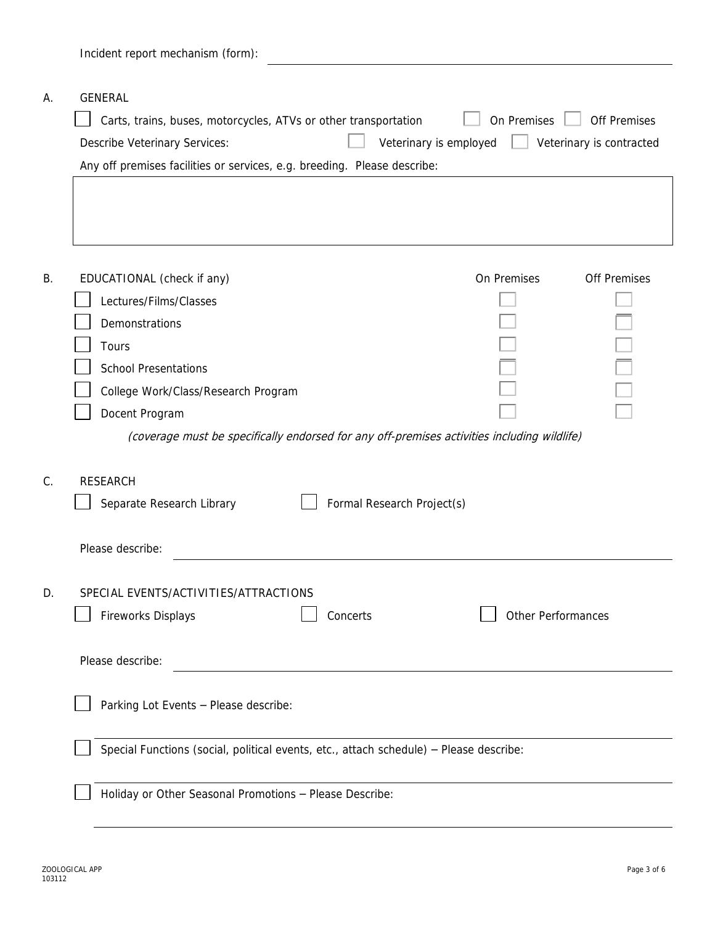|    | Incident report mechanism (form):                                                                                                                                                                                                                                                                     |
|----|-------------------------------------------------------------------------------------------------------------------------------------------------------------------------------------------------------------------------------------------------------------------------------------------------------|
| А. | GENERAL<br>On Premises<br>Off Premises<br>Carts, trains, buses, motorcycles, ATVs or other transportation<br>Veterinary is employed<br>Describe Veterinary Services:<br>Veterinary is contracted<br>Any off premises facilities or services, e.g. breeding. Please describe:                          |
| Β. | On Premises<br>EDUCATIONAL (check if any)<br>Off Premises<br>Lectures/Films/Classes<br>Demonstrations<br>Tours<br><b>School Presentations</b><br>College Work/Class/Research Program<br>Docent Program<br>(coverage must be specifically endorsed for any off-premises activities including wildlife) |
| C. | <b>RESEARCH</b><br>Separate Research Library<br>Formal Research Project(s)                                                                                                                                                                                                                            |
| D. | Please describe:<br>SPECIAL EVENTS/ACTIVITIES/ATTRACTIONS<br>Other Performances<br>Fireworks Displays<br>Concerts                                                                                                                                                                                     |
|    | Please describe:<br>Parking Lot Events - Please describe:<br>Special Functions (social, political events, etc., attach schedule) - Please describe:                                                                                                                                                   |
|    | Holiday or Other Seasonal Promotions - Please Describe:                                                                                                                                                                                                                                               |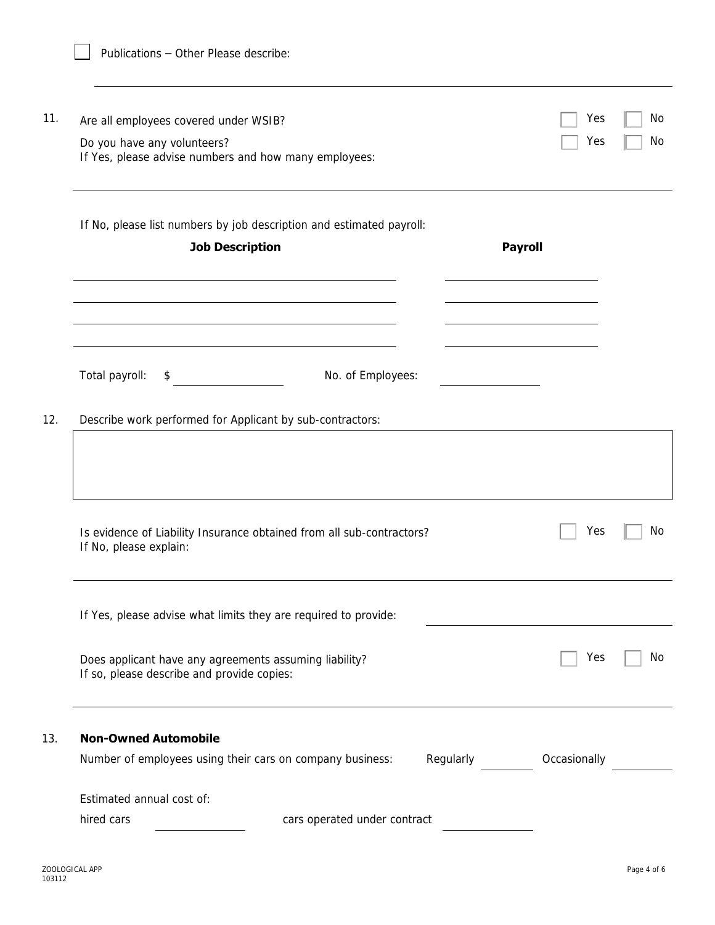| 11. | Are all employees covered under WSIB?<br>Do you have any volunteers?<br>If Yes, please advise numbers and how many employees: |                                                                       |                | Yes<br>Yes   | No<br>No |
|-----|-------------------------------------------------------------------------------------------------------------------------------|-----------------------------------------------------------------------|----------------|--------------|----------|
|     | <b>Job Description</b>                                                                                                        | If No, please list numbers by job description and estimated payroll:  | <b>Payroll</b> |              |          |
|     | Total payroll:<br>\$                                                                                                          | No. of Employees:                                                     |                |              |          |
| 12. | Describe work performed for Applicant by sub-contractors:                                                                     |                                                                       |                |              |          |
|     | If No, please explain:                                                                                                        | Is evidence of Liability Insurance obtained from all sub-contractors? |                | Yes          | No       |
|     |                                                                                                                               | If Yes, please advise what limits they are required to provide:       |                |              |          |
|     | Does applicant have any agreements assuming liability?<br>If so, please describe and provide copies:                          |                                                                       |                | Yes          | No       |
| 13. | <b>Non-Owned Automobile</b>                                                                                                   |                                                                       |                |              |          |
|     |                                                                                                                               | Number of employees using their cars on company business:             | Regularly      | Occasionally |          |
|     | Estimated annual cost of:                                                                                                     |                                                                       |                |              |          |
|     | hired cars                                                                                                                    | cars operated under contract                                          |                |              |          |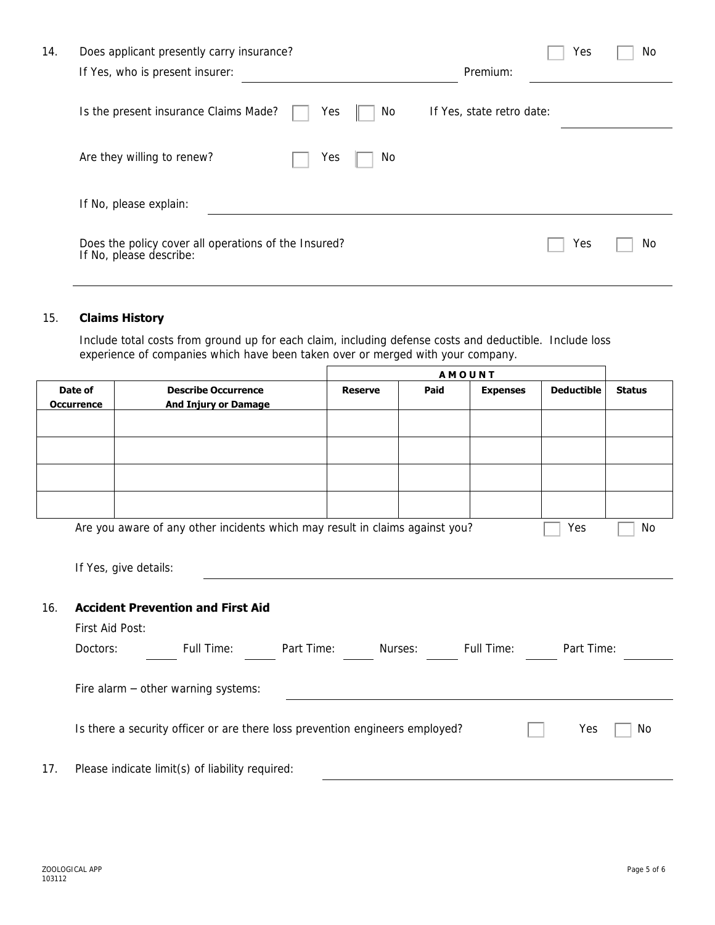| 14. | Does applicant presently carry insurance?                                       | Yes<br>No                 |
|-----|---------------------------------------------------------------------------------|---------------------------|
|     | If Yes, who is present insurer:                                                 | Premium:                  |
|     | Is the present insurance Claims Made?<br>Yes<br>No                              | If Yes, state retro date: |
|     | Are they willing to renew?<br>No<br>Yes                                         |                           |
|     | If No, please explain:                                                          |                           |
|     | Does the policy cover all operations of the Insured?<br>If No, please describe: | Yes<br>No.                |
|     |                                                                                 |                           |

### 15. **Claims History**

Include total costs from ground up for each claim, including defense costs and deductible. Include loss experience of companies which have been taken over or merged with your company.

|     |                   |                                                                              |  | <b>AMOUNT</b>  |      |                 |                   |               |
|-----|-------------------|------------------------------------------------------------------------------|--|----------------|------|-----------------|-------------------|---------------|
|     | Date of           | <b>Describe Occurrence</b>                                                   |  | <b>Reserve</b> | Paid | <b>Expenses</b> | <b>Deductible</b> | <b>Status</b> |
|     | <b>Occurrence</b> | <b>And Injury or Damage</b>                                                  |  |                |      |                 |                   |               |
|     |                   |                                                                              |  |                |      |                 |                   |               |
|     |                   |                                                                              |  |                |      |                 |                   |               |
|     |                   |                                                                              |  |                |      |                 |                   |               |
|     |                   |                                                                              |  |                |      |                 |                   |               |
|     |                   | Are you aware of any other incidents which may result in claims against you? |  |                |      |                 | Yes               | No            |
|     |                   |                                                                              |  |                |      |                 |                   |               |
|     |                   | If Yes, give details:                                                        |  |                |      |                 |                   |               |
|     |                   |                                                                              |  |                |      |                 |                   |               |
| 16. |                   | <b>Accident Prevention and First Aid</b>                                     |  |                |      |                 |                   |               |
|     | First Aid Post:   |                                                                              |  |                |      |                 |                   |               |
|     | Doctors:          | Full Time: Part Time: Nurses: Full Time:                                     |  |                |      |                 | Part Time:        |               |
|     |                   |                                                                              |  |                |      |                 |                   |               |
|     |                   |                                                                              |  |                |      |                 |                   |               |
|     |                   | Fire alarm - other warning systems:                                          |  |                |      |                 |                   |               |
|     |                   |                                                                              |  |                |      |                 |                   |               |
|     |                   | Is there a security officer or are there loss prevention engineers employed? |  |                |      |                 | Yes               | No            |
|     |                   |                                                                              |  |                |      |                 |                   |               |
| 17. |                   | Please indicate limit(s) of liability required:                              |  |                |      |                 |                   |               |